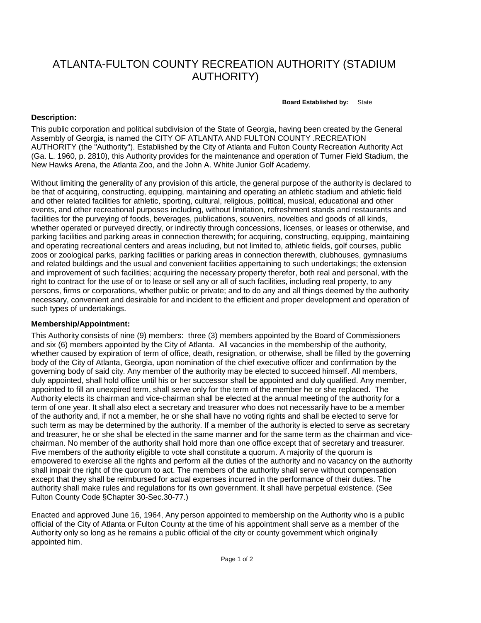# ATLANTA-FULTON COUNTY RECREATION AUTHORITY (STADIUM AUTHORITY)

**Board Established by:** State

#### **Description:**

This public corporation and political subdivision of the State of Georgia, having been created by the General Assembly of Georgia, is named the CITY OF ATLANTA AND FULTON COUNTY .RECREATION AUTHORITY (the "Authority"). Established by the City of Atlanta and Fulton County Recreation Authority Act (Ga. L. 1960, p. 2810), this Authority provides for the maintenance and operation of Turner Field Stadium, the New Hawks Arena, the Atlanta Zoo, and the John A. White Junior Golf Academy.

Without limiting the generality of any provision of this article, the general purpose of the authority is declared to be that of acquiring, constructing, equipping, maintaining and operating an athletic stadium and athletic field and other related facilities for athletic, sporting, cultural, religious, political, musical, educational and other events, and other recreational purposes including, without limitation, refreshment stands and restaurants and facilities for the purveying of foods, beverages, publications, souvenirs, novelties and goods of all kinds, whether operated or purveyed directly, or indirectly through concessions, licenses, or leases or otherwise, and parking facilities and parking areas in connection therewith; for acquiring, constructing, equipping, maintaining and operating recreational centers and areas including, but not limited to, athletic fields, golf courses, public zoos or zoological parks, parking facilities or parking areas in connection therewith, clubhouses, gymnasiums and related buildings and the usual and convenient facilities appertaining to such undertakings; the extension and improvement of such facilities; acquiring the necessary property therefor, both real and personal, with the right to contract for the use of or to lease or sell any or all of such facilities, including real property, to any persons, firms or corporations, whether public or private; and to do any and all things deemed by the authority necessary, convenient and desirable for and incident to the efficient and proper development and operation of such types of undertakings.

## **Membership/Appointment:**

This Authority consists of nine (9) members: three (3) members appointed by the Board of Commissioners and six (6) members appointed by the City of Atlanta. All vacancies in the membership of the authority, whether caused by expiration of term of office, death, resignation, or otherwise, shall be filled by the governing body of the City of Atlanta, Georgia, upon nomination of the chief executive officer and confirmation by the governing body of said city. Any member of the authority may be elected to succeed himself. All members, duly appointed, shall hold office until his or her successor shall be appointed and duly qualified. Any member, appointed to fill an unexpired term, shall serve only for the term of the member he or she replaced. The Authority elects its chairman and vice-chairman shall be elected at the annual meeting of the authority for a term of one year. It shall also elect a secretary and treasurer who does not necessarily have to be a member of the authority and, if not a member, he or she shall have no voting rights and shall be elected to serve for such term as may be determined by the authority. If a member of the authority is elected to serve as secretary and treasurer, he or she shall be elected in the same manner and for the same term as the chairman and vicechairman. No member of the authority shall hold more than one office except that of secretary and treasurer. Five members of the authority eligible to vote shall constitute a quorum. A majority of the quorum is empowered to exercise all the rights and perform all the duties of the authority and no vacancy on the authority shall impair the right of the quorum to act. The members of the authority shall serve without compensation except that they shall be reimbursed for actual expenses incurred in the performance of their duties. The authority shall make rules and regulations for its own government. It shall have perpetual existence. (See Fulton County Code §Chapter 30-Sec.30-77.)

Enacted and approved June 16, 1964, Any person appointed to membership on the Authority who is a public official of the City of Atlanta or Fulton County at the time of his appointment shall serve as a member of the Authority only so long as he remains a public official of the city or county government which originally appointed him.